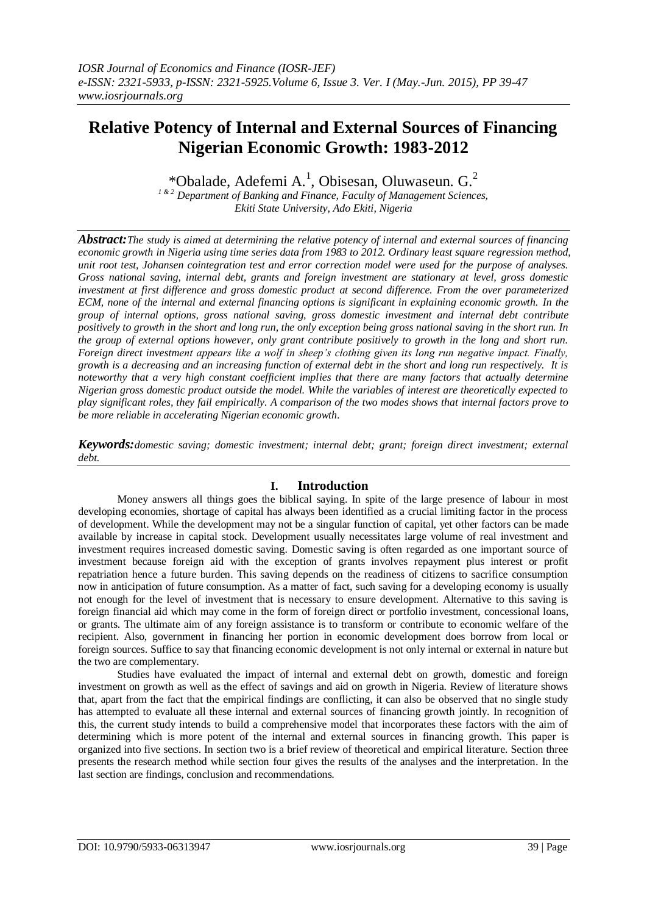# **Relative Potency of Internal and External Sources of Financing Nigerian Economic Growth: 1983-2012**

\*Obalade, Adefemi A.<sup>1</sup>, Obisesan, Oluwaseun. G.<sup>2</sup>

*1 & 2 Department of Banking and Finance, Faculty of Management Sciences, Ekiti State University, Ado Ekiti, Nigeria*

*Abstract:The study is aimed at determining the relative potency of internal and external sources of financing economic growth in Nigeria using time series data from 1983 to 2012. Ordinary least square regression method, unit root test, Johansen cointegration test and error correction model were used for the purpose of analyses. Gross national saving, internal debt, grants and foreign investment are stationary at level, gross domestic investment at first difference and gross domestic product at second difference. From the over parameterized ECM, none of the internal and external financing options is significant in explaining economic growth. In the group of internal options, gross national saving, gross domestic investment and internal debt contribute positively to growth in the short and long run, the only exception being gross national saving in the short run. In the group of external options however, only grant contribute positively to growth in the long and short run. Foreign direct investment appears like a wolf in sheep's clothing given its long run negative impact. Finally, growth is a decreasing and an increasing function of external debt in the short and long run respectively. It is noteworthy that a very high constant coefficient implies that there are many factors that actually determine Nigerian gross domestic product outside the model. While the variables of interest are theoretically expected to play significant roles, they fail empirically. A comparison of the two modes shows that internal factors prove to be more reliable in accelerating Nigerian economic growth.*

*Keywords:domestic saving; domestic investment; internal debt; grant; foreign direct investment; external debt.*

# **I. Introduction**

Money answers all things goes the biblical saying. In spite of the large presence of labour in most developing economies, shortage of capital has always been identified as a crucial limiting factor in the process of development. While the development may not be a singular function of capital, yet other factors can be made available by increase in capital stock. Development usually necessitates large volume of real investment and investment requires increased domestic saving. Domestic saving is often regarded as one important source of investment because foreign aid with the exception of grants involves repayment plus interest or profit repatriation hence a future burden. This saving depends on the readiness of citizens to sacrifice consumption now in anticipation of future consumption. As a matter of fact, such saving for a developing economy is usually not enough for the level of investment that is necessary to ensure development. Alternative to this saving is foreign financial aid which may come in the form of foreign direct or portfolio investment, concessional loans, or grants. The ultimate aim of any foreign assistance is to transform or contribute to economic welfare of the recipient. Also, government in financing her portion in economic development does borrow from local or foreign sources. Suffice to say that financing economic development is not only internal or external in nature but the two are complementary.

Studies have evaluated the impact of internal and external debt on growth, domestic and foreign investment on growth as well as the effect of savings and aid on growth in Nigeria. Review of literature shows that, apart from the fact that the empirical findings are conflicting, it can also be observed that no single study has attempted to evaluate all these internal and external sources of financing growth jointly. In recognition of this, the current study intends to build a comprehensive model that incorporates these factors with the aim of determining which is more potent of the internal and external sources in financing growth. This paper is organized into five sections. In section two is a brief review of theoretical and empirical literature. Section three presents the research method while section four gives the results of the analyses and the interpretation. In the last section are findings, conclusion and recommendations.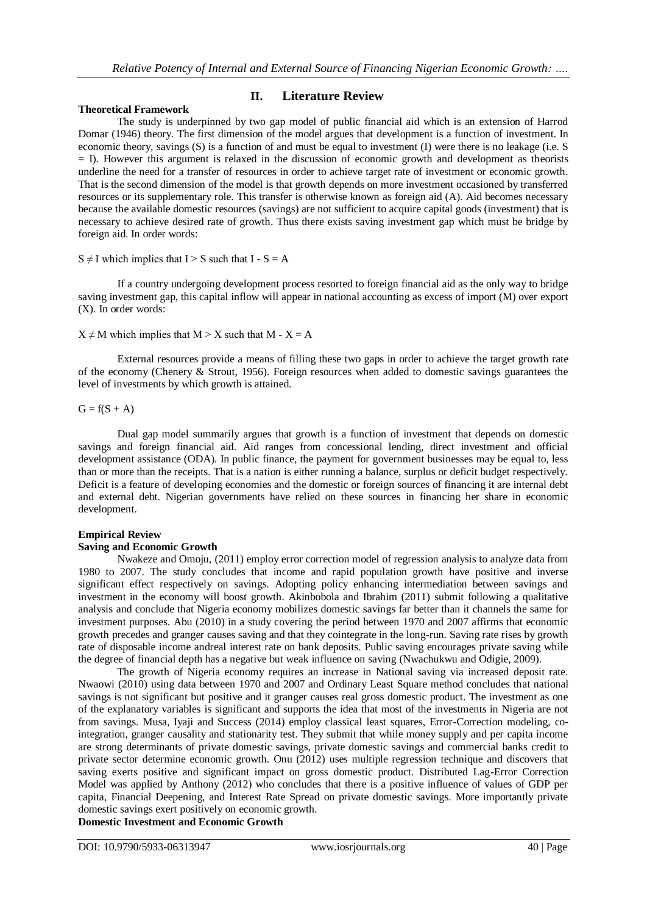#### **Theoretical Framework**

## **II. Literature Review**

The study is underpinned by two gap model of public financial aid which is an extension of Harrod Domar (1946) theory. The first dimension of the model argues that development is a function of investment. In economic theory, savings (S) is a function of and must be equal to investment (I) were there is no leakage (i.e. S = I). However this argument is relaxed in the discussion of economic growth and development as theorists underline the need for a transfer of resources in order to achieve target rate of investment or economic growth. That is the second dimension of the model is that growth depends on more investment occasioned by transferred resources or its supplementary role. This transfer is otherwise known as foreign aid (A). Aid becomes necessary because the available domestic resources (savings) are not sufficient to acquire capital goods (investment) that is necessary to achieve desired rate of growth. Thus there exists saving investment gap which must be bridge by foreign aid. In order words:

#### $S \neq I$  which implies that  $I > S$  such that  $I - S = A$

If a country undergoing development process resorted to foreign financial aid as the only way to bridge saving investment gap, this capital inflow will appear in national accounting as excess of import (M) over export (X). In order words:

## $X \neq M$  which implies that  $M > X$  such that  $M - X = A$

External resources provide a means of filling these two gaps in order to achieve the target growth rate of the economy (Chenery & Strout, 1956). Foreign resources when added to domestic savings guarantees the level of investments by which growth is attained.

### $G = f(S + A)$

Dual gap model summarily argues that growth is a function of investment that depends on domestic savings and foreign financial aid. Aid ranges from concessional lending, direct investment and official development assistance (ODA). In public finance, the payment for government businesses may be equal to, less than or more than the receipts. That is a nation is either running a balance, surplus or deficit budget respectively. Deficit is a feature of developing economies and the domestic or foreign sources of financing it are internal debt and external debt. Nigerian governments have relied on these sources in financing her share in economic development.

# **Empirical Review**

# **Saving and Economic Growth**

Nwakeze and Omoju, (2011) employ error correction model of regression analysis to analyze data from 1980 to 2007. The study concludes that income and rapid population growth have positive and inverse significant effect respectively on savings. Adopting policy enhancing intermediation between savings and investment in the economy will boost growth. Akinbobola and Ibrahim (2011) submit following a qualitative analysis and conclude that Nigeria economy mobilizes domestic savings far better than it channels the same for investment purposes. Abu (2010) in a study covering the period between 1970 and 2007 affirms that economic growth precedes and granger causes saving and that they cointegrate in the long-run. Saving rate rises by growth rate of disposable income andreal interest rate on bank deposits. Public saving encourages private saving while the degree of financial depth has a negative but weak influence on saving (Nwachukwu and Odigie, 2009).

The growth of Nigeria economy requires an increase in National saving via increased deposit rate. Nwaowi (2010) using data between 1970 and 2007 and Ordinary Least Square method concludes that national savings is not significant but positive and it granger causes real gross domestic product. The investment as one of the explanatory variables is significant and supports the idea that most of the investments in Nigeria are not from savings. Musa, Iyaji and Success (2014) employ classical least squares, Error-Correction modeling, cointegration, granger causality and stationarity test. They submit that while money supply and per capita income are strong determinants of private domestic savings, private domestic savings and commercial banks credit to private sector determine economic growth. Onu (2012) uses multiple regression technique and discovers that saving exerts positive and significant impact on gross domestic product. Distributed Lag-Error Correction Model was applied by Anthony (2012) who concludes that there is a positive influence of values of GDP per capita, Financial Deepening, and Interest Rate Spread on private domestic savings. More importantly private domestic savings exert positively on economic growth.

**Domestic Investment and Economic Growth**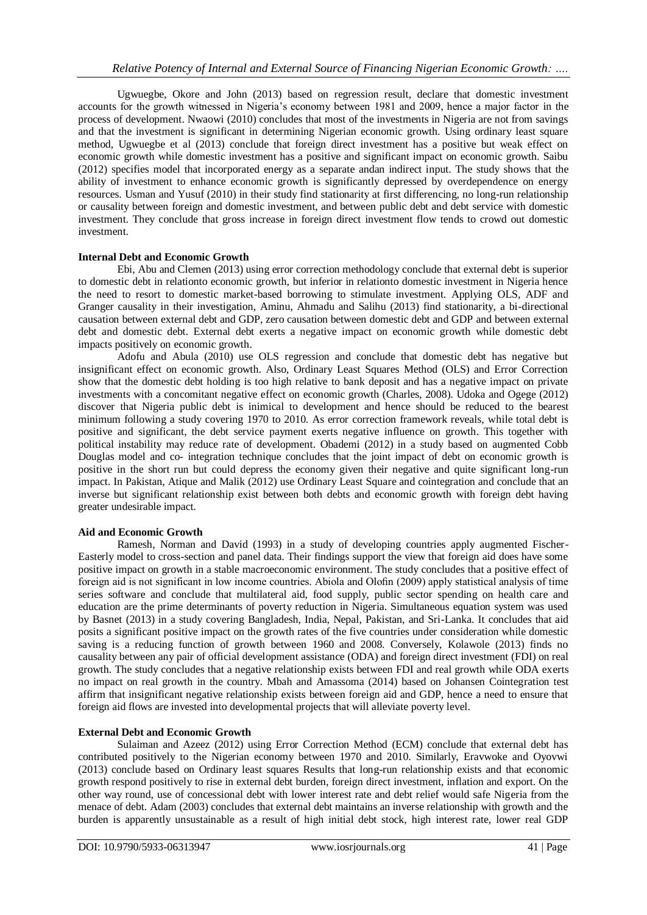Ugwuegbe, Okore and John (2013) based on regression result, declare that domestic investment accounts for the growth witnessed in Nigeria's economy between 1981 and 2009, hence a major factor in the process of development. Nwaowi (2010) concludes that most of the investments in Nigeria are not from savings and that the investment is significant in determining Nigerian economic growth. Using ordinary least square method, Ugwuegbe et al (2013) conclude that foreign direct investment has a positive but weak effect on economic growth while domestic investment has a positive and significant impact on economic growth. Saibu (2012) specifies model that incorporated energy as a separate andan indirect input. The study shows that the ability of investment to enhance economic growth is significantly depressed by overdependence on energy resources. Usman and Yusuf (2010) in their study find stationarity at first differencing, no long-run relationship or causality between foreign and domestic investment, and between public debt and debt service with domestic investment. They conclude that gross increase in foreign direct investment flow tends to crowd out domestic investment.

## **Internal Debt and Economic Growth**

Ebi, Abu and Clemen (2013) using error correction methodology conclude that external debt is superior to domestic debt in relationto economic growth, but inferior in relationto domestic investment in Nigeria hence the need to resort to domestic market-based borrowing to stimulate investment. Applying OLS, ADF and Granger causality in their investigation, Aminu, Ahmadu and Salihu (2013) find stationarity, a bi-directional causation between external debt and GDP, zero causation between domestic debt and GDP and between external debt and domestic debt. External debt exerts a negative impact on economic growth while domestic debt impacts positively on economic growth.

Adofu and Abula (2010) use OLS regression and conclude that domestic debt has negative but insignificant effect on economic growth. Also, Ordinary Least Squares Method (OLS) and Error Correction show that the domestic debt holding is too high relative to bank deposit and has a negative impact on private investments with a concomitant negative effect on economic growth (Charles, 2008). Udoka and Ogege (2012) discover that Nigeria public debt is inimical to development and hence should be reduced to the bearest minimum following a study covering 1970 to 2010. As error correction framework reveals, while total debt is positive and significant, the debt service payment exerts negative influence on growth. This together with political instability may reduce rate of development. Obademi (2012) in a study based on augmented Cobb Douglas model and co- integration technique concludes that the joint impact of debt on economic growth is positive in the short run but could depress the economy given their negative and quite significant long-run impact. In Pakistan, Atique and Malik (2012) use Ordinary Least Square and cointegration and conclude that an inverse but significant relationship exist between both debts and economic growth with foreign debt having greater undesirable impact.

## **Aid and Economic Growth**

Ramesh, Norman and David (1993) in a study of developing countries apply augmented Fischer-Easterly model to cross-section and panel data. Their findings support the view that foreign aid does have some positive impact on growth in a stable macroeconomic environment. The study concludes that a positive effect of foreign aid is not significant in low income countries. Abiola and Olofin (2009) apply statistical analysis of time series software and conclude that multilateral aid, food supply, public sector spending on health care and education are the prime determinants of poverty reduction in Nigeria. Simultaneous equation system was used by Basnet (2013) in a study covering Bangladesh, India, Nepal, Pakistan, and Sri-Lanka. It concludes that aid posits a significant positive impact on the growth rates of the five countries under consideration while domestic saving is a reducing function of growth between 1960 and 2008. Conversely, Kolawole (2013) finds no causality between any pair of official development assistance (ODA) and foreign direct investment (FDI) on real growth. The study concludes that a negative relationship exists between FDI and real growth while ODA exerts no impact on real growth in the country. Mbah and Amassoma (2014) based on Johansen Cointegration test affirm that insignificant negative relationship exists between foreign aid and GDP, hence a need to ensure that foreign aid flows are invested into developmental projects that will alleviate poverty level.

## **External Debt and Economic Growth**

Sulaiman and Azeez (2012) using Error Correction Method (ECM) conclude that external debt has contributed positively to the Nigerian economy between 1970 and 2010. Similarly, Eravwoke and Oyovwi (2013) conclude based on Ordinary least squares Results that long-run relationship exists and that economic growth respond positively to rise in external debt burden, foreign direct investment, inflation and export. On the other way round, use of concessional debt with lower interest rate and debt relief would safe Nigeria from the menace of debt. Adam (2003) concludes that external debt maintains an inverse relationship with growth and the burden is apparently unsustainable as a result of high initial debt stock, high interest rate, lower real GDP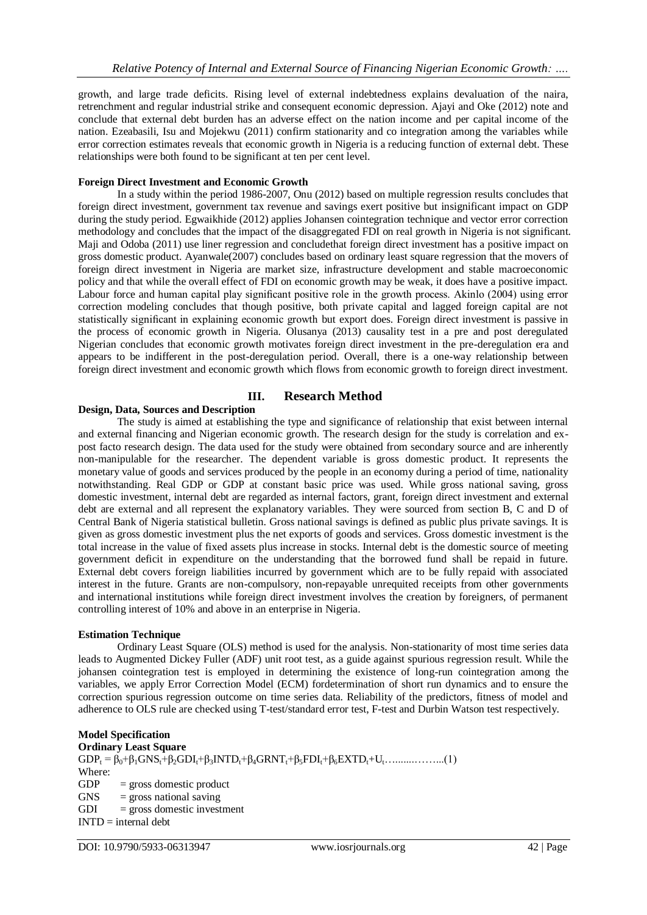growth, and large trade deficits. Rising level of external indebtedness explains devaluation of the naira, retrenchment and regular industrial strike and consequent economic depression. Ajayi and Oke (2012) note and conclude that external debt burden has an adverse effect on the nation income and per capital income of the nation. Ezeabasili, Isu and Mojekwu (2011) confirm stationarity and co integration among the variables while error correction estimates reveals that economic growth in Nigeria is a reducing function of external debt. These relationships were both found to be significant at ten per cent level.

#### **Foreign Direct Investment and Economic Growth**

In a study within the period 1986-2007, Onu (2012) based on multiple regression results concludes that foreign direct investment, government tax revenue and savings exert positive but insignificant impact on GDP during the study period. Egwaikhide (2012) applies Johansen cointegration technique and vector error correction methodology and concludes that the impact of the disaggregated FDI on real growth in Nigeria is not significant. Maji and Odoba (2011) use liner regression and concludethat foreign direct investment has a positive impact on gross domestic product. Ayanwale(2007) concludes based on ordinary least square regression that the movers of foreign direct investment in Nigeria are market size, infrastructure development and stable macroeconomic policy and that while the overall effect of FDI on economic growth may be weak, it does have a positive impact. Labour force and human capital play significant positive role in the growth process. Akinlo (2004) using error correction modeling concludes that though positive, both private capital and lagged foreign capital are not statistically significant in explaining economic growth but export does. Foreign direct investment is passive in the process of economic growth in Nigeria. Olusanya (2013) causality test in a pre and post deregulated Nigerian concludes that economic growth motivates foreign direct investment in the pre-deregulation era and appears to be indifferent in the post-deregulation period. Overall, there is a one-way relationship between foreign direct investment and economic growth which flows from economic growth to foreign direct investment.

## **III. Research Method**

#### **Design, Data, Sources and Description**

The study is aimed at establishing the type and significance of relationship that exist between internal and external financing and Nigerian economic growth. The research design for the study is correlation and expost facto research design. The data used for the study were obtained from secondary source and are inherently non-manipulable for the researcher. The dependent variable is gross domestic product. It represents the monetary value of goods and services produced by the people in an economy during a period of time, nationality notwithstanding. Real GDP or GDP at constant basic price was used. While gross national saving, gross domestic investment, internal debt are regarded as internal factors, grant, foreign direct investment and external debt are external and all represent the explanatory variables. They were sourced from section B, C and D of Central Bank of Nigeria statistical bulletin. Gross national savings is defined as public plus private savings. It is given as gross domestic investment plus the net exports of goods and services. Gross domestic investment is the total increase in the value of fixed assets plus increase in stocks. Internal debt is the domestic source of meeting government deficit in expenditure on the understanding that the borrowed fund shall be repaid in future. External debt covers foreign liabilities incurred by government which are to be fully repaid with associated interest in the future. Grants are non-compulsory, non-repayable unrequited receipts from other governments and international institutions while foreign direct investment involves the creation by foreigners, of permanent controlling interest of 10% and above in an enterprise in Nigeria.

#### **Estimation Technique**

Ordinary Least Square (OLS) method is used for the analysis. Non-stationarity of most time series data leads to Augmented Dickey Fuller (ADF) unit root test, as a guide against spurious regression result. While the johansen cointegration test is employed in determining the existence of long-run cointegration among the variables, we apply Error Correction Model (ECM) fordetermination of short run dynamics and to ensure the correction spurious regression outcome on time series data. Reliability of the predictors, fitness of model and adherence to OLS rule are checked using T-test/standard error test, F-test and Durbin Watson test respectively.

#### **Model Specification**

**Ordinary Least Square** GDP<sup>t</sup> = β0+β1GNSt+β2GDIt+β3INTDt+β4GRNTt+β5FDIt+β6EXTDt+Ut….......……...(1) Where:  $GDP = gross domestic product$  $GNS$  = gross national saving  $GDI = gross domestic investment$  $INTD = internal debt$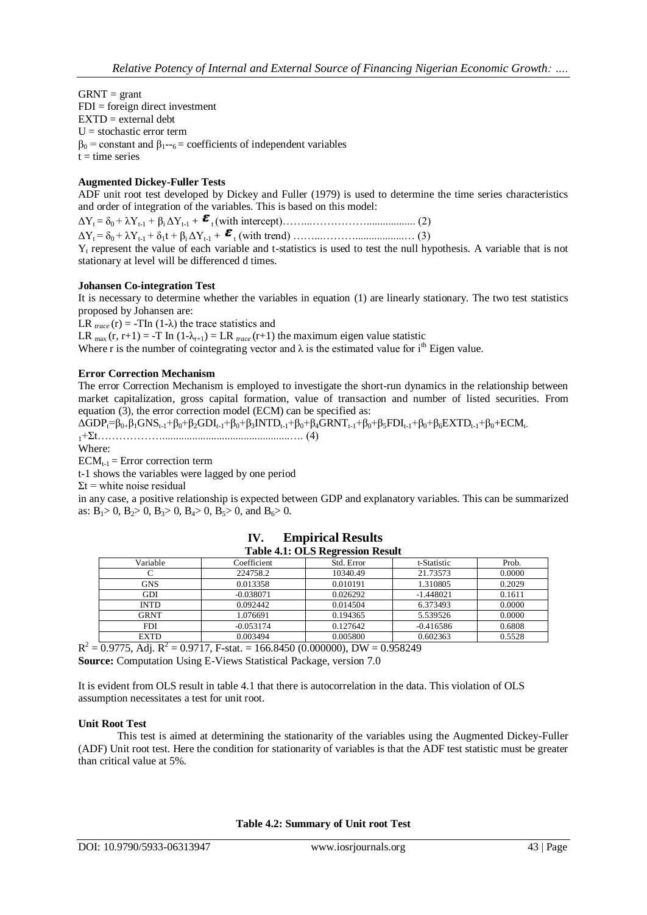$GRNT = grant$  $FDI = foreign direct investment$  $EXTD = external$  $U =$  stochastic error term  $β<sub>0</sub> = constant and β<sub>1</sub> - ε = coefficients of independent variables$  $t = time$  series

## **Augmented Dickey-Fuller Tests**

ADF unit root test developed by Dickey and Fuller (1979) is used to determine the time series characteristics and order of integration of the variables. This is based on this model:

ΔYt = δ0 + λYt-1 + βi ΔYt-1 + t (with intercept)……...…………….................. (2) ΔYt = δ0 + λYt-1 + δ1t + βi ΔYt-1 + <sup>t</sup> (with trend) ……...………..................… (3)

 $Y_t$  represent the value of each variable and t-statistics is used to test the null hypothesis. A variable that is not stationary at level will be differenced d times.

#### **Johansen Co-integration Test**

It is necessary to determine whether the variables in equation (1) are linearly stationary. The two test statistics proposed by Johansen are:

LR  $_{trace}$  (r) = -TIn (1- $\lambda$ ) the trace statistics and

LR  $_{\text{max}}(r, r+1) = -T \ln (1-\lambda_{r+1}) = LR \text{ }_{\text{trace}}(r+1)$  the maximum eigen value statistic

Where r is the number of cointegrating vector and  $\lambda$  is the estimated value for i<sup>th</sup> Eigen value.

#### **Error Correction Mechanism**

The error Correction Mechanism is employed to investigate the short-run dynamics in the relationship between market capitalization, gross capital formation, value of transaction and number of listed securities. From equation (3), the error correction model (ECM) can be specified as:

 $\Delta GDP_t = \beta_0 + \beta_1 GNS_{t-1} + \beta_0 + \beta_2 GDI_{t-1} + \beta_0 + \beta_3 INTD_{t-1} + \beta_0 + \beta_4 GRNT_{t-1} + \beta_0 + \beta_5 FDI_{t-1} + \beta_0 + \beta_6 EXTD_{t-1} + \beta_0 + ECM_{t-1}$ <sup>1</sup>+Ʃt………………...............................................…. (4)

Where:

 $ECM_{t-1} = Error correction term$ 

t-1 shows the variables were lagged by one period

 $\Sigma t$  = white noise residual

in any case, a positive relationship is expected between GDP and explanatory variables. This can be summarized as:  $B_1 > 0$ ,  $B_2 > 0$ ,  $B_3 > 0$ ,  $B_4 > 0$ ,  $B_5 > 0$ , and  $B_6 > 0$ .

| Table 4.1. OLS Regi essibil Result |             |            |             |        |  |  |  |
|------------------------------------|-------------|------------|-------------|--------|--|--|--|
| Variable                           | Coefficient | Std. Error | t-Statistic | Prob.  |  |  |  |
|                                    | 224758.2    | 10340.49   | 21.73573    | 0.0000 |  |  |  |
| <b>GNS</b>                         | 0.013358    | 0.010191   | 1.310805    | 0.2029 |  |  |  |
| GDI                                | $-0.038071$ | 0.026292   | $-1.448021$ | 0.1611 |  |  |  |
| <b>INTD</b>                        | 0.092442    | 0.014504   | 6.373493    | 0.0000 |  |  |  |
| GRNT                               | 1.076691    | 0.194365   | 5.539526    | 0.0000 |  |  |  |
| <b>FDI</b>                         | $-0.053174$ | 0.127642   | $-0.416586$ | 0.6808 |  |  |  |
| <b>EXTD</b>                        | 0.003494    | 0.005800   | 0.602363    | 0.5528 |  |  |  |

| IV. | <b>Empirical Results</b>                |
|-----|-----------------------------------------|
|     | <b>Table 4.1: OLS Regression Result</b> |

 $R^2 = 0.9775$ , Adj.  $R^2 = 0.9717$ , F-stat. = 166.8450 (0.000000), DW = 0.958249 **Source:** Computation Using E-Views Statistical Package, version 7.0

It is evident from OLS result in table 4.1 that there is autocorrelation in the data. This violation of OLS assumption necessitates a test for unit root.

#### **Unit Root Test**

This test is aimed at determining the stationarity of the variables using the Augmented Dickey-Fuller (ADF) Unit root test. Here the condition for stationarity of variables is that the ADF test statistic must be greater than critical value at 5%.

**Table 4.2: Summary of Unit root Test**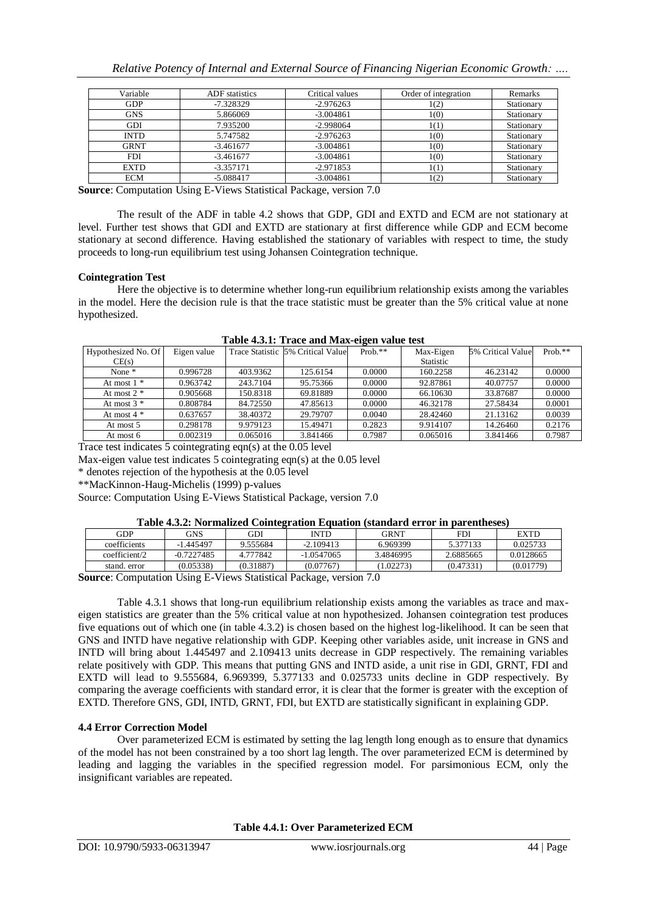| Variable    | <b>ADF</b> statistics | Critical values | Order of integration | Remarks    |
|-------------|-----------------------|-----------------|----------------------|------------|
| <b>GDP</b>  | $-7.328329$           | $-2.976263$     | 1(2)                 | Stationary |
| <b>GNS</b>  | 5.866069              | $-3.004861$     | 1(0)                 | Stationary |
| GDI         | 7.935200              | $-2.998064$     | (1)                  | Stationary |
| INTD        | 5.747582              | $-2.976263$     | 1(0)                 | Stationary |
| <b>GRNT</b> | $-3.461677$           | $-3.004861$     | 1(0)                 | Stationary |
| <b>FDI</b>  | $-3.461677$           | $-3.004861$     | 1(0)                 | Stationary |
| <b>EXTD</b> | $-3.357171$           | $-2.971853$     | (1)                  | Stationary |
| <b>ECM</b>  | $-5.088417$           | $-3.004861$     | (2)                  | Stationary |

**Source**: Computation Using E-Views Statistical Package, version 7.0

The result of the ADF in table 4.2 shows that GDP, GDI and EXTD and ECM are not stationary at level. Further test shows that GDI and EXTD are stationary at first difference while GDP and ECM become stationary at second difference. Having established the stationary of variables with respect to time, the study proceeds to long-run equilibrium test using Johansen Cointegration technique.

#### **Cointegration Test**

Here the objective is to determine whether long-run equilibrium relationship exists among the variables in the model. Here the decision rule is that the trace statistic must be greater than the 5% critical value at none hypothesized.

| THEIR HOLL TIME AND MILL HAMIT<br><b>VILVIL THEME PODE</b> |             |          |                                   |           |           |                   |            |
|------------------------------------------------------------|-------------|----------|-----------------------------------|-----------|-----------|-------------------|------------|
| Hypothesized No. Of                                        | Eigen value |          | Trace Statistic 5% Critical Value | $Prob.**$ | Max-Eigen | 5% Critical Value | Prob. $**$ |
| CE(s)                                                      |             |          |                                   |           | Statistic |                   |            |
| None $*$                                                   | 0.996728    | 403.9362 | 125.6154                          | 0.0000    | 160.2258  | 46.23142          | 0.0000     |
| At most $1 *$                                              | 0.963742    | 243.7104 | 95.75366                          | 0.0000    | 92.87861  | 40.07757          | 0.0000     |
| At most $2 *$                                              | 0.905668    | 150.8318 | 69.81889                          | 0.0000    | 66.10630  | 33.87687          | 0.0000     |
| At most $3 *$                                              | 0.808784    | 84.72550 | 47.85613                          | 0.0000    | 46.32178  | 27.58434          | 0.0001     |
| At most $4 *$                                              | 0.637657    | 38.40372 | 29.79707                          | 0.0040    | 28.42460  | 21.13162          | 0.0039     |
| At most 5                                                  | 0.298178    | 9.979123 | 15.49471                          | 0.2823    | 9.914107  | 14.26460          | 0.2176     |
| At most 6                                                  | 0.002319    | 0.065016 | 3.841466                          | 0.7987    | 0.065016  | 3.841466          | 0.7987     |

**Table 4.3.1: Trace and Max-eigen value test**

Trace test indicates 5 cointegrating eqn(s) at the 0.05 level

Max-eigen value test indicates 5 cointegrating eqn(s) at the 0.05 level

\* denotes rejection of the hypothesis at the 0.05 level

\*\*MacKinnon-Haug-Michelis (1999) p-values

Source: Computation Using E-Views Statistical Package, version 7.0

#### **Table 4.3.2: Normalized Cointegration Equation (standard error in parentheses)**

| GDP           | <b>GNS</b>           | GDI       | INTD         | GRNT      | FDI       | <b>EXTD</b> |
|---------------|----------------------|-----------|--------------|-----------|-----------|-------------|
| coefficients  | $-1.445497$          | 9.555684  | $-2.109413$  | 6.969399  | 5.377133  | 0.025733    |
| coefficient/2 | $-0.7227485$         | 4.777842  | $-1.0547065$ | 3.4846995 | 2.6885665 | 0.0128665   |
| stand, error  | (0.05338)            | (0.31887) | (0.07767)    | (1.02273) | (0.47331) | (0.01779)   |
| $\sim$        | $- - -$<br>$- - - -$ |           | .            | $ -$      |           |             |

**Source**: Computation Using E-Views Statistical Package, version 7.0

Table 4.3.1 shows that long-run equilibrium relationship exists among the variables as trace and maxeigen statistics are greater than the 5% critical value at non hypothesized. Johansen cointegration test produces five equations out of which one (in table 4.3.2) is chosen based on the highest log-likelihood. It can be seen that GNS and INTD have negative relationship with GDP. Keeping other variables aside, unit increase in GNS and INTD will bring about 1.445497 and 2.109413 units decrease in GDP respectively. The remaining variables relate positively with GDP. This means that putting GNS and INTD aside, a unit rise in GDI, GRNT, FDI and EXTD will lead to 9.555684, 6.969399, 5.377133 and 0.025733 units decline in GDP respectively. By comparing the average coefficients with standard error, it is clear that the former is greater with the exception of EXTD. Therefore GNS, GDI, INTD, GRNT, FDI, but EXTD are statistically significant in explaining GDP.

## **4.4 Error Correction Model**

Over parameterized ECM is estimated by setting the lag length long enough as to ensure that dynamics of the model has not been constrained by a too short lag length. The over parameterized ECM is determined by leading and lagging the variables in the specified regression model. For parsimonious ECM, only the insignificant variables are repeated.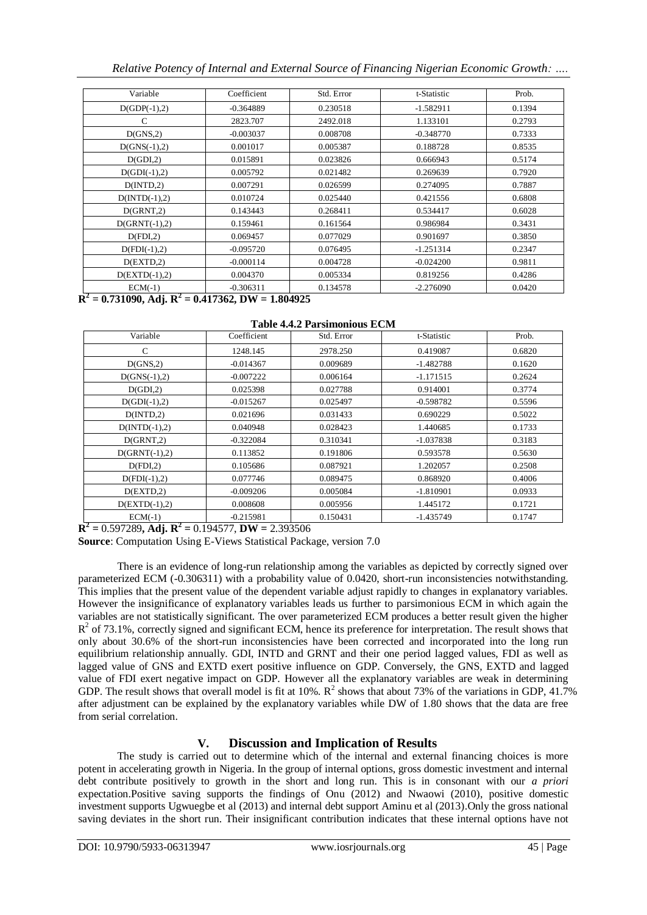*Relative Potency of Internal and External Source of Financing Nigerian Economic Growth: ….*

| Variable        | Coefficient | Std. Error | t-Statistic | Prob.  |
|-----------------|-------------|------------|-------------|--------|
| $D(GDP(-1),2)$  | $-0.364889$ | 0.230518   | $-1.582911$ | 0.1394 |
| C               | 2823.707    | 2492.018   | 1.133101    | 0.2793 |
| D(GNS,2)        | $-0.003037$ | 0.008708   | $-0.348770$ | 0.7333 |
| $D(GNS(-1),2)$  | 0.001017    | 0.005387   | 0.188728    | 0.8535 |
| D(GDI, 2)       | 0.015891    | 0.023826   | 0.666943    | 0.5174 |
| $D(GDI(-1),2)$  | 0.005792    | 0.021482   | 0.269639    | 0.7920 |
| D(INTD, 2)      | 0.007291    | 0.026599   | 0.274095    | 0.7887 |
| $D(INTD(-1),2)$ | 0.010724    | 0.025440   | 0.421556    | 0.6808 |
| D(GRNT,2)       | 0.143443    | 0.268411   | 0.534417    | 0.6028 |
| $D(GRNT(-1),2)$ | 0.159461    | 0.161564   | 0.986984    | 0.3431 |
| D(FDI, 2)       | 0.069457    | 0.077029   | 0.901697    | 0.3850 |
| $D(FDI(-1),2)$  | $-0.095720$ | 0.076495   | $-1.251314$ | 0.2347 |
| D(EXTD,2)       | $-0.000114$ | 0.004728   | $-0.024200$ | 0.9811 |
| $D(EXTD(-1),2)$ | 0.004370    | 0.005334   | 0.819256    | 0.4286 |
| $ECM(-1)$       | $-0.306311$ | 0.134578   | $-2.276090$ | 0.0420 |

**R 2 = 0.731090, Adj. R<sup>2</sup> = 0.417362, DW = 1.804925** 

#### **Table 4.4.2 Parsimonious ECM**

| Variable        | Coefficient | Std. Error | t-Statistic | Prob.  |
|-----------------|-------------|------------|-------------|--------|
| C               | 1248.145    | 2978.250   | 0.419087    | 0.6820 |
| D(GNS,2)        | $-0.014367$ | 0.009689   | $-1.482788$ | 0.1620 |
| $D(GNS(-1),2)$  | $-0.007222$ | 0.006164   | $-1.171515$ | 0.2624 |
| D(GDI,2)        | 0.025398    | 0.027788   | 0.914001    | 0.3774 |
| $D(GDI(-1),2)$  | $-0.015267$ | 0.025497   | $-0.598782$ | 0.5596 |
| D(INTD, 2)      | 0.021696    | 0.031433   | 0.690229    | 0.5022 |
| $D(INTD(-1),2)$ | 0.040948    | 0.028423   | 1.440685    | 0.1733 |
| D(GRNT,2)       | -0.322084   | 0.310341   | $-1.037838$ | 0.3183 |
| $D(GRNT(-1),2)$ | 0.113852    | 0.191806   | 0.593578    | 0.5630 |
| D(FDI, 2)       | 0.105686    | 0.087921   | 1.202057    | 0.2508 |
| $D(FDI(-1),2)$  | 0.077746    | 0.089475   | 0.868920    | 0.4006 |
| D(EXTD,2)       | -0.009206   | 0.005084   | $-1.810901$ | 0.0933 |
| $D(EXTD(-1),2)$ | 0.008608    | 0.005956   | 1.445172    | 0.1721 |
| $ECM(-1)$       | $-0.215981$ | 0.150431   | $-1.435749$ | 0.1747 |

 ${\bf R}^2 = 0.597289$ , Adj.  ${\bf R}^2 = 0.194577$ ,  ${\bf DW} = 2.393506$ 

**Source**: Computation Using E-Views Statistical Package, version 7.0

There is an evidence of long-run relationship among the variables as depicted by correctly signed over parameterized ECM (-0.306311) with a probability value of 0.0420, short-run inconsistencies notwithstanding. This implies that the present value of the dependent variable adjust rapidly to changes in explanatory variables. However the insignificance of explanatory variables leads us further to parsimonious ECM in which again the variables are not statistically significant. The over parameterized ECM produces a better result given the higher  $R<sup>2</sup>$  of 73.1%, correctly signed and significant ECM, hence its preference for interpretation. The result shows that only about 30.6% of the short-run inconsistencies have been corrected and incorporated into the long run equilibrium relationship annually. GDI, INTD and GRNT and their one period lagged values, FDI as well as lagged value of GNS and EXTD exert positive influence on GDP. Conversely, the GNS, EXTD and lagged value of FDI exert negative impact on GDP. However all the explanatory variables are weak in determining GDP. The result shows that overall model is fit at 10%.  $R^2$  shows that about 73% of the variations in GDP, 41.7% after adjustment can be explained by the explanatory variables while DW of 1.80 shows that the data are free from serial correlation.

# **V. Discussion and Implication of Results**

The study is carried out to determine which of the internal and external financing choices is more potent in accelerating growth in Nigeria. In the group of internal options, gross domestic investment and internal debt contribute positively to growth in the short and long run. This is in consonant with our *a priori* expectation.Positive saving supports the findings of Onu (2012) and Nwaowi (2010), positive domestic investment supports Ugwuegbe et al (2013) and internal debt support Aminu et al (2013).Only the gross national saving deviates in the short run. Their insignificant contribution indicates that these internal options have not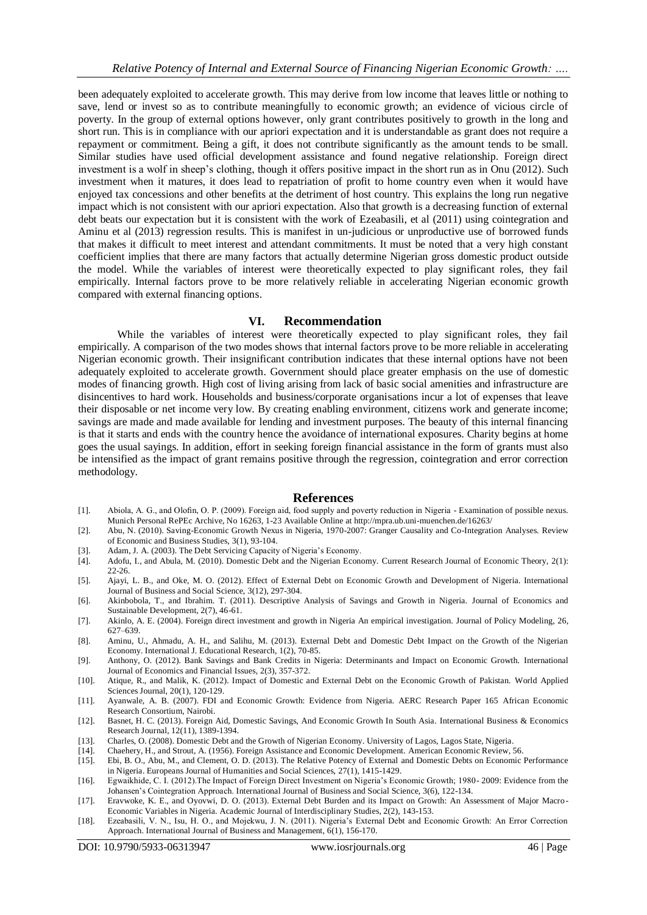been adequately exploited to accelerate growth. This may derive from low income that leaves little or nothing to save, lend or invest so as to contribute meaningfully to economic growth; an evidence of vicious circle of poverty. In the group of external options however, only grant contributes positively to growth in the long and short run. This is in compliance with our apriori expectation and it is understandable as grant does not require a repayment or commitment. Being a gift, it does not contribute significantly as the amount tends to be small. Similar studies have used official development assistance and found negative relationship. Foreign direct investment is a wolf in sheep's clothing, though it offers positive impact in the short run as in Onu (2012). Such investment when it matures, it does lead to repatriation of profit to home country even when it would have enjoyed tax concessions and other benefits at the detriment of host country. This explains the long run negative impact which is not consistent with our apriori expectation. Also that growth is a decreasing function of external debt beats our expectation but it is consistent with the work of Ezeabasili, et al (2011) using cointegration and Aminu et al (2013) regression results. This is manifest in un-judicious or unproductive use of borrowed funds that makes it difficult to meet interest and attendant commitments. It must be noted that a very high constant coefficient implies that there are many factors that actually determine Nigerian gross domestic product outside the model. While the variables of interest were theoretically expected to play significant roles, they fail empirically. Internal factors prove to be more relatively reliable in accelerating Nigerian economic growth compared with external financing options.

#### **VI. Recommendation**

While the variables of interest were theoretically expected to play significant roles, they fail empirically. A comparison of the two modes shows that internal factors prove to be more reliable in accelerating Nigerian economic growth. Their insignificant contribution indicates that these internal options have not been adequately exploited to accelerate growth. Government should place greater emphasis on the use of domestic modes of financing growth. High cost of living arising from lack of basic social amenities and infrastructure are disincentives to hard work. Households and business/corporate organisations incur a lot of expenses that leave their disposable or net income very low. By creating enabling environment, citizens work and generate income; savings are made and made available for lending and investment purposes. The beauty of this internal financing is that it starts and ends with the country hence the avoidance of international exposures. Charity begins at home goes the usual sayings. In addition, effort in seeking foreign financial assistance in the form of grants must also be intensified as the impact of grant remains positive through the regression, cointegration and error correction methodology.

#### **References**

- [1]. Abiola, A. G., and Olofin, O. P. (2009). Foreign aid, food supply and poverty reduction in Nigeria Examination of possible nexus. Munich Personal RePEc Archive, No 16263, 1-23 Available Online at http://mpra.ub.uni-muenchen.de/16263/
- [2]. Abu, N. (2010). Saving-Economic Growth Nexus in Nigeria, 1970-2007: Granger Causality and Co-Integration Analyses. Review of Economic and Business Studies, 3(1), 93-104.
- [3]. Adam, J. A. (2003). The Debt Servicing Capacity of Nigeria's Economy.
- [4]. Adofu, I., and Abula, M. (2010). Domestic Debt and the Nigerian Economy. Current Research Journal of Economic Theory, 2(1): 22-26.
- [5]. Ajayi, L. B., and Oke, M. O. (2012). Effect of External Debt on Economic Growth and Development of Nigeria. International Journal of Business and Social Science, 3(12), 297-304.
- [6]. Akinbobola, T., and Ibrahim. T. (2011). Descriptive Analysis of Savings and Growth in Nigeria. Journal of Economics and Sustainable Development, 2(7), 46-61.
- [7]. Akinlo, A. E. (2004). Foreign direct investment and growth in Nigeria An empirical investigation. Journal of Policy Modeling, 26, 627–639.
- [8]. Aminu, U., Ahmadu, A. H., and Salihu, M. (2013). External Debt and Domestic Debt Impact on the Growth of the Nigerian Economy. International J. Educational Research, 1(2), 70-85.
- [9]. Anthony, O. (2012). Bank Savings and Bank Credits in Nigeria: Determinants and Impact on Economic Growth. International Journal of Economics and Financial Issues, 2(3), 357-372.
- [10]. Atique, R., and Malik, K. (2012). Impact of Domestic and External Debt on the Economic Growth of Pakistan. World Applied Sciences Journal, 20(1), 120-129.
- [11]. Ayanwale, A. B. (2007). FDI and Economic Growth: Evidence from Nigeria. AERC Research Paper 165 African Economic Research Consortium, Nairobi.
- [12]. Basnet, H. C. (2013). Foreign Aid, Domestic Savings, And Economic Growth In South Asia. International Business & Economics Research Journal, 12(11), 1389-1394.
- [13]. Charles, O. (2008). Domestic Debt and the Growth of Nigerian Economy. University of Lagos, Lagos State, Nigeria.
- [14]. Chaehery, H., and Strout, A. (1956). Foreign Assistance and Economic Development. American Economic Review, 56.
- [15]. Ebi, B. O., Abu, M., and Clement, O. D. (2013). The Relative Potency of External and Domestic Debts on Economic Performance in Nigeria. Europeans Journal of Humanities and Social Sciences, 27(1), 1415-1429.
- [16]. Egwaikhide, C. I. (2012).The Impact of Foreign Direct Investment on Nigeria's Economic Growth; 1980- 2009: Evidence from the Johansen's Cointegration Approach. International Journal of Business and Social Science, 3(6), 122-134.
- [17]. Eravwoke, K. E., and Oyovwi, D. O. (2013). External Debt Burden and its Impact on Growth: An Assessment of Major Macro-Economic Variables in Nigeria. Academic Journal of Interdisciplinary Studies, 2(2), 143-153.
- [18]. Ezeabasili, V. N., Isu, H. O., and Mojekwu, J. N. (2011). Nigeria's External Debt and Economic Growth: An Error Correction Approach. International Journal of Business and Management, 6(1), 156-170.